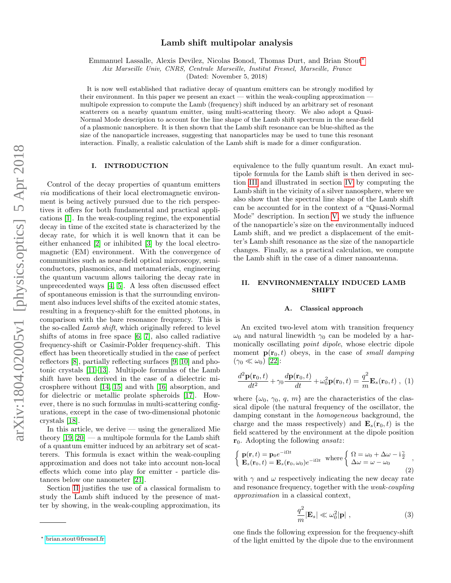# Lamb shift multipolar analysis

Emmanuel Lassalle, Alexis Devilez, Nicolas Bonod, Thomas Durt, and Brian Stout[∗](#page-0-0)

Aix Marseille Univ, CNRS, Centrale Marseille, Institut Fresnel, Marseille, France

(Dated: November 5, 2018)

It is now well established that radiative decay of quantum emitters can be strongly modified by their environment. In this paper we present an exact — within the weak-coupling approximation multipole expression to compute the Lamb (frequency) shift induced by an arbitrary set of resonant scatterers on a nearby quantum emitter, using multi-scattering theory. We also adopt a Quasi-Normal Mode description to account for the line shape of the Lamb shift spectrum in the near-field of a plasmonic nanosphere. It is then shown that the Lamb shift resonance can be blue-shifted as the size of the nanoparticle increases, suggesting that nanoparticles may be used to tune this resonant interaction. Finally, a realistic calculation of the Lamb shift is made for a dimer configuration.

# I. INTRODUCTION

Control of the decay properties of quantum emitters via modifications of their local electromagnetic environment is being actively pursued due to the rich perspectives it offers for both fundamental and practical applications [\[1\]](#page-7-0). In the weak-coupling regime, the exponential decay in time of the excited state is characterized by the decay rate, for which it is well known that it can be either enhanced [\[2\]](#page-7-1) or inhibited [\[3\]](#page-7-2) by the local electromagnetic (EM) environment. With the convergence of communities such as near-field optical microscopy, semiconductors, plasmonics, and metamaterials, engineering the quantum vacuum allows tailoring the decay rate in unprecedented ways [\[4,](#page-7-3) [5\]](#page-7-4). A less often discussed effect of spontaneous emission is that the surrounding environment also induces level shifts of the excited atomic states, resulting in a frequency-shift for the emitted photons, in comparison with the bare resonance frequency. This is the so-called Lamb shift, which originally refered to level shifts of atoms in free space [\[6,](#page-7-5) [7\]](#page-7-6), also called radiative frequency-shift or Casimir-Polder frequency-shift. This effect has been theoretically studied in the case of perfect reflectors [\[8\]](#page-7-7), partially reflecting surfaces [\[9,](#page-7-8) [10\]](#page-7-9) and photonic crystals [\[11–](#page-7-10)[13\]](#page-7-11). Multipole formulas of the Lamb shift have been derived in the case of a dielectric microsphere without [\[14,](#page-7-12) [15\]](#page-7-13) and with [\[16\]](#page-7-14) absorption, and for dielectric or metallic prolate spheroids [\[17\]](#page-7-15). However, there is no such formulas in multi-scattering configurations, except in the case of two-dimensional photonic crystals [\[18\]](#page-7-16).

In this article, we derive  $\frac{1}{2}$  using the generalized Mie theory  $[19, 20]$  $[19, 20]$  — a multipole formula for the Lamb shift of a quantum emitter induced by an arbitrary set of scatterers. This formula is exact within the weak-coupling approximation and does not take into account non-local effects which come into play for emitter - particle distances below one nanometer [\[21\]](#page-7-19).

Section [II](#page-0-1) justifies the use of a classical formalism to study the Lamb shift induced by the presence of matter by showing, in the weak-coupling approximation, its

equivalence to the fully quantum result. An exact multipole formula for the Lamb shift is then derived in section [III](#page-1-0) and illustrated in section [IV](#page-2-0) by computing the Lamb shift in the vicinity of a silver nanosphere, where we also show that the spectral line shape of the Lamb shift can be accounted for in the context of a "Quasi-Normal Mode" description. In section [V,](#page-5-0) we study the influence of the nanoparticle's size on the environmentally induced Lamb shift, and we predict a displacement of the emitter's Lamb shift resonance as the size of the nanoparticle changes. Finally, as a practical calculation, we compute the Lamb shift in the case of a dimer nanoantenna.

# <span id="page-0-1"></span>II. ENVIRONMENTALLY INDUCED LAMB **SHIFT**

### A. Classical approach

An excited two-level atom with transition frequency  $\omega_0$  and natural linewidth  $\gamma_0$  can be modeled by a harmonically oscillating point dipole, whose electric dipole moment  $\mathbf{p}(\mathbf{r}_0, t)$  obeys, in the case of small damping  $(\gamma_0 \ll \omega_0)$  [\[22\]](#page-8-0):

$$
\frac{d^2\mathbf{p}(\mathbf{r}_0,t)}{dt^2} + \gamma_0 \frac{d\mathbf{p}(\mathbf{r}_0,t)}{dt} + \omega_0^2 \mathbf{p}(\mathbf{r}_0,t) = \frac{q^2}{m} \mathbf{E}_s(\mathbf{r}_0,t) , (1)
$$

where  $\{\omega_0, \gamma_0, q, m\}$  are the characteristics of the classical dipole (the natural frequency of the oscillator, the damping constant in the homogeneous background, the charge and the mass respectively) and  $\mathbf{E}_s(\mathbf{r}_0, t)$  is the field scattered by the environment at the dipole position  $r_0$ . Adopting the following *ansatz*:

$$
\begin{cases}\n\mathbf{p}(\mathbf{r},t) = \mathbf{p}_0 e^{-i\Omega t} \\
\mathbf{E}_s(\mathbf{r}_0,t) = \mathbf{E}_s(\mathbf{r}_0,\omega_0)e^{-i\Omega t}\n\end{cases} \text{ where } \begin{cases}\n\Omega = \omega_0 + \Delta\omega - i\frac{\gamma}{2} \\
\Delta\omega = \omega - \omega_0\n\end{cases},
$$
\n(2)

with  $\gamma$  and  $\omega$  respectively indicating the new decay rate and resonance frequency, together with the weak-coupling approximation in a classical context,

$$
\frac{q^2}{m}|\mathbf{E}_s| \ll \omega_0^2 |\mathbf{p}| \;, \tag{3}
$$

one finds the following expression for the frequency-shift of the light emitted by the dipole due to the environment

<span id="page-0-0"></span><sup>∗</sup> [brian.stout@fresnel.fr](mailto:brian.stout@fresnel.fr)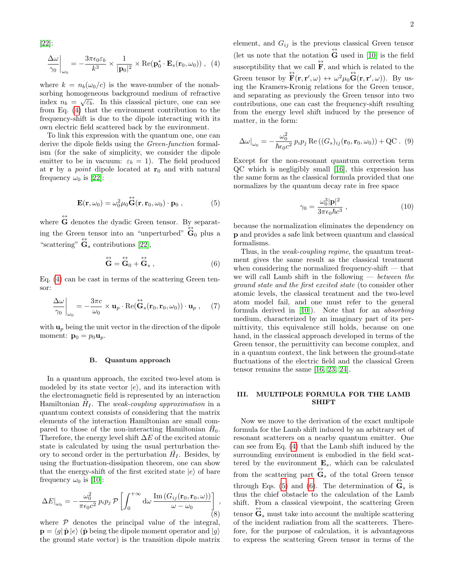[\[22\]](#page-8-0):

<span id="page-1-1"></span>
$$
\left. \frac{\Delta \omega}{\gamma_0} \right|_{\omega_0} = -\frac{3\pi \epsilon_0 \epsilon_b}{k^3} \times \frac{1}{|\mathbf{p}_0|^2} \times \text{Re}(\mathbf{p}_0^* \cdot \mathbf{E}_s(\mathbf{r}_0, \omega_0)), \tag{4}
$$

where  $k = n_b(\omega_0/c)$  is the wave-number of the nonabsorbing homogeneous background medium of refractive √ index  $n_b = \sqrt{\varepsilon_b}$ . In this classical picture, one can see from Eq. [\(4\)](#page-1-1) that the environment contribution to the frequency-shift is due to the dipole interacting with its own electric field scattered back by the environment.

To link this expression with the quantum one, one can derive the dipole fields using the Green-function formalism (for the sake of simplicity, we consider the dipole emitter to be in vacuum:  $\varepsilon_b = 1$ ). The field produced at **r** by a *point* dipole located at  $r_0$  and with natural frequency  $\omega_0$  is [\[22\]](#page-8-0):

<span id="page-1-2"></span>
$$
\mathbf{E}(\mathbf{r},\omega_0) = \omega_0^2 \mu_0 \dot{\mathbf{G}}(\mathbf{r},\mathbf{r}_0,\omega_0) \cdot \mathbf{p}_0 , \qquad (5)
$$

where  $\overleftrightarrow{\mathbf{G}}$  denotes the dyadic Green tensor. By separating the Green tensor into an "unperturbed"  $\overleftrightarrow{\mathbf{G}}_0$  plus a "scattering"  $\overleftrightarrow{\mathbf{G}}_s$  contributions [\[22\]](#page-8-0),

<span id="page-1-3"></span>
$$
\stackrel{\leftrightarrow}{\mathbf{G}} = \stackrel{\leftrightarrow}{\mathbf{G}}_0 + \stackrel{\leftrightarrow}{\mathbf{G}}_s , \qquad (6)
$$

Eq. [\(4\)](#page-1-1) can be cast in terms of the scattering Green tensor:

$$
\frac{\Delta \omega}{\gamma_0}\bigg|_{\omega_0} = -\frac{3\pi c}{\omega_0} \times \mathbf{u}_p \cdot \text{Re}(\stackrel{\leftrightarrow}{\mathbf{G}}_{s}(\mathbf{r}_0, \mathbf{r}_0, \omega_0)) \cdot \mathbf{u}_p , \quad (7)
$$

with  $\mathbf{u}_p$  being the unit vector in the direction of the dipole moment:  $\mathbf{p}_0 = p_0 \mathbf{u}_p$ .

## B. Quantum approach

In a quantum approach, the excited two-level atom is modeled by its state vector  $|e\rangle$ , and its interaction with the electromagnetic field is represented by an interaction Hamiltonian  $\hat{H}_I$ . The weak-coupling approximation in a quantum context consists of considering that the matrix elements of the interaction Hamiltonian are small compared to those of the non-interacting Hamiltonian  $\hat{H}_0$ . Therefore, the energy level shift  $\Delta E$  of the excited atomic state is calculated by using the usual perturbation theory to second order in the perturbation  $\hat{H}_I$ . Besides, by using the fluctuation-dissipation theorem, one can show that the energy-shift of the first excited state  $|e\rangle$  of bare frequency  $\omega_0$  is [\[10\]](#page-7-9):

$$
\Delta E|_{\omega_0} = -\frac{\omega_0^2}{\pi \epsilon_0 c^2} p_i p_j \mathcal{P} \left[ \int_0^{+\infty} \mathrm{d}\omega \, \frac{\mathrm{Im} \left( G_{ij}(\mathbf{r}_0, \mathbf{r}_0, \omega) \right)}{\omega - \omega_0} \right], \tag{8}
$$

where  $P$  denotes the principal value of the integral,  $\mathbf{p} = \langle g | \hat{\mathbf{p}} | e \rangle$  ( $\hat{\mathbf{p}}$  being the dipole moment operator and  $|g\rangle$ ) the ground state vector) is the transition dipole matrix

element, and  $G_{ij}$  is the previous classical Green tensor (let us note that the notation  $\overleftrightarrow{\mathbf{G}}$  used in [\[10\]](#page-7-9) is the field susceptibility that we call  $\overleftrightarrow{\mathbf{F}}$ , and which is related to the Green tensor by  $\overleftrightarrow{\mathbf{F}}(\mathbf{r}, \mathbf{r}', \omega) \leftrightarrow \omega^2 \mu_0 \overleftrightarrow{\mathbf{G}}(\mathbf{r}, \mathbf{r}', \omega)$ ). By using the Kramers-Kronig relations for the Green tensor, and separating as previously the Green tensor into two contributions, one can cast the frequency-shift resulting from the energy level shift induced by the presence of matter, in the form:

$$
\Delta\omega\big|_{\omega_0} = -\frac{\omega_0^2}{\hbar\epsilon_0 c^2} \, p_i p_j \, \text{Re}\left((G_s)_{ij}(\mathbf{r}_0, \mathbf{r}_0, \omega_0)\right) + \text{QC} \ . \tag{9}
$$

Except for the non-resonant quantum correction term QC which is negligibly small [\[16\]](#page-7-14), this expression has the same form as the classical formula provided that one normalizes by the quantum decay rate in free space

$$
\gamma_0 = \frac{\omega_0^3 |\mathbf{p}|^2}{3\pi \epsilon_0 \hbar c^3} \,, \tag{10}
$$

because the normalization eliminates the dependency on p and provides a safe link between quantum and classical formalisms.

Thus, in the *weak-coupling regime*, the quantum treatment gives the same result as the classical treatment when considering the normalized frequency-shift  $-$  that we will call Lamb shift in the following  $-$  between the ground state and the first excited state (to consider other atomic levels, the classical treatment and the two-level atom model fail, and one must refer to the general formula derived in [\[10\]](#page-7-9)). Note that for an absorbing medium, characterized by an imaginary part of its permittivity, this equivalence still holds, because on one hand, in the classical approach developed in terms of the Green tensor, the permittivity can become complex, and in a quantum context, the link between the ground-state fluctuations of the electric field and the classical Green tensor remains the same [\[16,](#page-7-14) [23,](#page-8-1) [24\]](#page-8-2).

# <span id="page-1-0"></span>III. MULTIPOLE FORMULA FOR THE LAMB SHIFT

Now we move to the derivation of the exact multipole formula for the Lamb shift induced by an arbitrary set of resonant scatterers on a nearby quantum emitter. One can see from Eq. [\(4\)](#page-1-1) that the Lamb shift induced by the surrounding environment is embodied in the field scattered by the environment  $\mathbf{E}_s$ , which can be calculated from the scattering part  $\overleftrightarrow{\mathbf{G}}_s$  of the total Green tensor through Eqs. [\(5\)](#page-1-2) and [\(6\)](#page-1-3). The determination of  $\overleftrightarrow{\mathbf{G}}_s$  is thus the chief obstacle to the calculation of the Lamb shift. From a classical viewpoint, the scattering Green tensor  $\overleftrightarrow{\mathbf{G}}_s$  must take into account the multiple scattering of the incident radiation from all the scatterers. Therefore, for the purpose of calculation, it is advantageous to express the scattering Green tensor in terms of the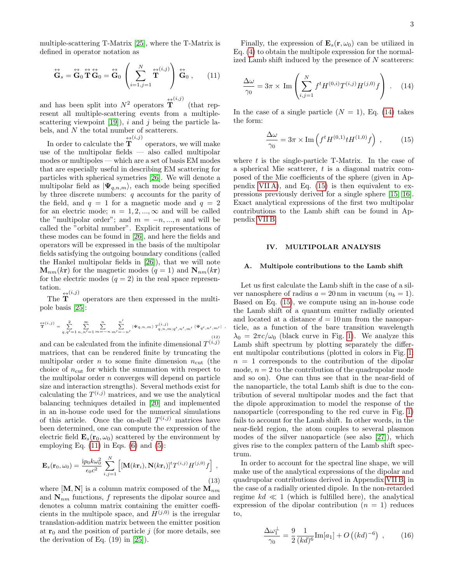multiple-scattering T-Matrix [\[25\]](#page-8-3), where the T-Matrix is defined in operator notation as

<span id="page-2-1"></span>
$$
\stackrel{\leftrightarrow}{\mathbf{G}}_{s} = \stackrel{\leftrightarrow}{\mathbf{G}}_{0} \stackrel{\leftrightarrow}{\mathbf{T}} \stackrel{\leftrightarrow}{\mathbf{G}}_{0} = \stackrel{\leftrightarrow}{\mathbf{G}}_{0} \left( \sum_{i=1, j=1}^{N} \stackrel{\leftrightarrow}{\mathbf{T}}^{(i, j)} \right) \stackrel{\leftrightarrow}{\mathbf{G}}_{0} , \qquad (11)
$$

and has been split into  $N^2$  operators  $\mathbf{T}^{(i,j)}$ (that represent all multiple-scattering events from a multiplescattering viewpoint  $[19]$ , i and j being the particle labels, and N the total number of scatterers.

In order to calculate the  $\overset{\leftrightarrow}{\mathbf{T}}^{(i,j)}$ operators, we will make use of the multipolar fields — also called multipolar modes or multipoles — which are a set of basis EM modes that are especially useful in describing EM scattering for particles with spherical symetries [\[26\]](#page-8-4). We will denote a multipolar field as  $|\Psi_{q,n,m}\rangle$ , each mode being specified by three discrete numbers:  $q$  accounts for the parity of the field, and  $q = 1$  for a magnetic mode and  $q = 2$ for an electric mode;  $n = 1, 2, ..., \infty$  and will be called the "multipolar order"; and  $m = -n, ..., n$  and will be called the "orbital number". Explicit representations of these modes can be found in [\[26\]](#page-8-4), and here the fields and operators will be expressed in the basis of the multipolar fields satisfying the outgoing boundary conditions (called the Hankel multipolar fields in [\[26\]](#page-8-4)), that we will note  $\mathbf{M}_{nm}(k\mathbf{r})$  for the magnetic modes  $(q = 1)$  and  $\mathbf{N}_{nm}(k\mathbf{r})$ for the electric modes  $(q = 2)$  in the real space representation.

The  $\overset{\leftrightarrow}{\mathbf{T}}^{(i,j)}$ operators are then expressed in the multipole basis [\[25\]](#page-8-3):

$$
\dot{\overline{T}}^{(i,j)} = \sum_{q,q'=1}^{2} \sum_{n,n'=1}^{\infty} \sum_{m=-n}^{n} \sum_{m'=-n'}^{n} |\Psi_{q,n,m}\rangle T_{q,n,m;q',n',m'}^{(i,j)}(\Psi_{q',n',m'}|),
$$
\n(12)

and can be calculated from the infinite dimensional  $T^{(i,j)}$ matrices, that can be rendered finite by truncating the multipolar order n to some finite dimension  $n_{\text{cut}}$  (the choice of  $n_{\text{cut}}$  for which the summation with respect to the multipolar order  $n$  converges will depend on particle size and interaction strengths). Several methods exist for calculating the  $T^{(i,j)}$  matrices, and we use the analytical balancing techniques detailed in [\[20\]](#page-7-18) and implemented in an in-house code used for the numerical simulations of this article. Once the on-shell  $T^{(i,j)}$  matrices have been determined, one can compute the expression of the electric field  $\mathbf{E}_s(\mathbf{r}_0, \omega_0)$  scattered by the environment by employing Eq.  $(11)$  in Eqs.  $(6)$  and  $(5)$ :

$$
\mathbf{E}_s(\mathbf{r}_0, \omega_0) = \frac{i p_0 k \omega_0^2}{\epsilon_0 c^2} \sum_{i,j=1}^N \left[ [\mathbf{M}(k\mathbf{r}_i), \mathbf{N}(k\mathbf{r}_i)]^t T^{(i,j)} H^{(j,0)} f \right],
$$
\n(13)

where  $[M, N]$  is a column matrix composed of the  $M_{nm}$ and  $N_{nm}$  functions, f represents the dipolar source and denotes a column matrix containing the emitter coefficients in the multipole space, and  $H^{(j,0)}$  is the irregular translation-addition matrix between the emitter position at  $r_0$  and the position of particle j (for more details, see the derivation of Eq. (19) in [\[25\]](#page-8-3)).

Finally, the expression of  $\mathbf{E}_s(\mathbf{r}, \omega_0)$  can be utilized in Eq. [\(4\)](#page-1-1) to obtain the multipole expression for the normalized Lamb shift induced by the presence of N scatterers:

<span id="page-2-2"></span>
$$
\frac{\Delta\omega}{\gamma_0} = 3\pi \times \text{Im}\left(\sum_{i,j=1}^N f^t H^{(0,i)} T^{(i,j)} H^{(j,0)} f\right) . \quad (14)
$$

In the case of a single particle  $(N = 1)$ , Eq. [\(14\)](#page-2-2) takes the form:

<span id="page-2-3"></span>
$$
\frac{\Delta\omega}{\gamma_0} = 3\pi \times \text{Im}\left(f^t H^{(0,1)} t H^{(1,0)} f\right) ,\qquad (15)
$$

where  $t$  is the single-particle T-Matrix. In the case of a spherical Mie scatterer, t is a diagonal matrix composed of the Mie coefficients of the sphere (given in Appendix  $VII A$ , and Eq. [\(15\)](#page-2-3) is then equivalent to expressions previously derived for a single sphere [\[15,](#page-7-13) [16\]](#page-7-14). Exact analytical expressions of the first two multipolar contributions to the Lamb shift can be found in Appendix [VII B.](#page-6-1)

### <span id="page-2-0"></span>IV. MULTIPOLAR ANALYSIS

### A. Multipole contributions to the Lamb shift

Let us first calculate the Lamb shift in the case of a silver nanosphere of radius  $a = 20$  nm in vacuum  $(n_b = 1)$ . Based on Eq. [\(15\)](#page-2-3), we compute using an in-house code the Lamb shift of a quantum emitter radially oriented and located at a distance  $d = 10 \,\text{nm}$  from the nanoparticle, as a function of the bare transition wavelength  $\lambda_0 = 2\pi c/\omega_0$  (black curve in Fig. [1\)](#page-3-0). We analyze this Lamb shift spectrum by plotting separately the different multipolar contributions (plotted in colors in Fig. [1:](#page-3-0)  $n = 1$  corresponds to the contribution of the dipolar mode,  $n = 2$  to the contribution of the quadrupolar mode and so on). One can thus see that in the near-field of the nanoparticle, the total Lamb shift is due to the contribution of several multipolar modes and the fact that the dipole approximation to model the response of the nanoparticle (corresponding to the red curve in Fig. [1\)](#page-3-0) fails to account for the Lamb shift. In other words, in the near-field region, the atom couples to several plasmon modes of the silver nanoparticle (see also [\[27\]](#page-8-5)), which gives rise to the complex pattern of the Lamb shift spectrum.

In order to account for the spectral line shape, we will make use of the analytical expressions of the dipolar and quadrupolar contributions derived in Appendix [VII B,](#page-6-1) in the case of a radially oriented dipole. In the non-retarded regime  $kd \ll 1$  (which is fulfilled here), the analytical expression of the dipolar contribution  $(n = 1)$  reduces to,

$$
\frac{\Delta\omega_1^{\perp}}{\gamma_0} = \frac{9}{2} \frac{1}{(kd)^6} \text{Im}[a_1] + O((kd)^{-6}), \quad (16)
$$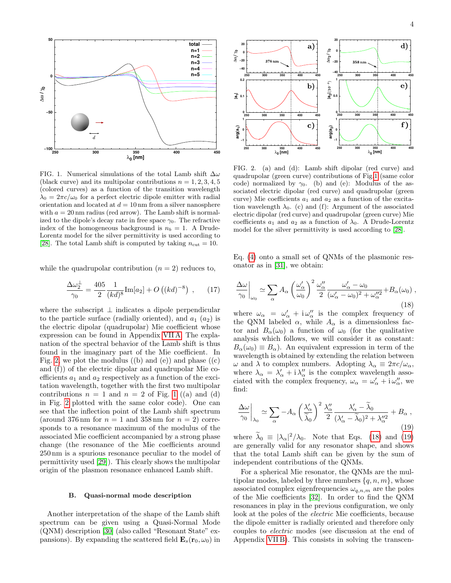

<span id="page-3-0"></span>FIG. 1. Numerical simulations of the total Lamb shift  $\Delta\omega$ (black curve) and its multipolar contributions  $n = 1, 2, 3, 4, 5$ (colored curves) as a function of the transition wavelength  $\lambda_0 = 2\pi c/\omega_0$  for a perfect electric dipole emitter with radial orientation and located at  $d = 10$  nm from a silver nanosphere with  $a = 20$  nm radius (red arrow). The Lamb shift is normalized to the dipole's decay rate in free space  $\gamma_0$ . The refractive index of the homogeneous background is  $n_b = 1$ . A Drude-Lorentz model for the silver permittivity is used according to [\[28\]](#page-8-6). The total Lamb shift is computed by taking  $n_{\text{cut}} = 10$ .

while the quadrupolar contribution  $(n = 2)$  reduces to,

$$
\frac{\Delta\omega_2^{\perp}}{\gamma_0} = \frac{405}{2} \frac{1}{(kd)^8} \text{Im}[a_2] + O((kd)^{-8}), \quad (17)
$$

where the subscript  $\perp$  indicates a dipole perpendicular to the particle surface (radially oriented), and  $a_1$   $(a_2)$  is the electric dipolar (quadrupolar) Mie coefficient whose expression can be found in Appendix [VII A.](#page-6-0) The explanation of the spectral behavior of the Lamb shift is thus found in the imaginary part of the Mie coefficient. In Fig. [2,](#page-3-1) we plot the modulus  $((b)$  and  $(e))$  and phase  $((c)$ and (f)) of the electric dipolar and quadrupolar Mie coefficients  $a_1$  and  $a_2$  respectively as a function of the excitation wavelength, together with the first two multipolar contributions  $n = 1$  $n = 1$  and  $n = 2$  of Fig. 1 ((a) and (d) in Fig. [2](#page-3-1) plotted with the same color code). One can see that the inflection point of the Lamb shift spectrum (around 376 nm for  $n = 1$  and 358 nm for  $n = 2$ ) corresponds to a resonance maximum of the modulus of the associated Mie coefficient accompanied by a strong phase change (the resonance of the Mie coefficients around 250 nm is a spurious resonance peculiar to the model of permittivity used [\[29\]](#page-8-7)). This clearly shows the multipolar origin of the plasmon resonance enhanced Lamb shift.

### B. Quasi-normal mode description

Another interpretation of the shape of the Lamb shift spectrum can be given using a Quasi-Normal Mode (QNM) description [\[30\]](#page-8-8) (also called "Resonant State" expansions). By expanding the scattered field  $\mathbf{E}_s(\mathbf{r}_0, \omega_0)$  in



<span id="page-3-1"></span>FIG. 2. (a) and (d): Lamb shift dipolar (red curve) and quadrupolar (green curve) contributions of Fig[.1](#page-3-0) (same color code) normalized by  $\gamma_0$ . (b) and (e): Modulus of the associated electric dipolar (red curve) and quadrupolar (green curve) Mie coefficients  $a_1$  and  $a_2$  as a function of the excitation wavelength  $\lambda_0$ . (c) and (f): Argument of the associated electric dipolar (red curve) and quadrupolar (green curve) Mie coefficients  $a_1$  and  $a_2$  as a function of  $\lambda_0$ . A Drude-Lorentz model for the silver permittivity is used according to [\[28\]](#page-8-6).

Eq. [\(4\)](#page-1-1) onto a small set of QNMs of the plasmonic resonator as in [\[31\]](#page-8-9), we obtain:

<span id="page-3-2"></span>
$$
\frac{\Delta\omega}{\gamma_0}\bigg|_{\omega_0} \simeq \sum_{\alpha} A_{\alpha} \left(\frac{\omega_{\alpha}'}{\omega_0}\right)^2 \frac{\omega_{\alpha}''}{2} \frac{\omega_{\alpha}' - \omega_0}{(\omega_{\alpha}' - \omega_0)^2 + \omega_{\alpha}''^2} + B_{\alpha}(\omega_0) ,\tag{18}
$$

where  $\omega_{\alpha} = \omega'_{\alpha} + i \omega''_{\alpha}$  is the complex frequency of the QNM labeled  $\alpha$ , while  $A_{\alpha}$  is a dimensionless factor and  $B_{\alpha}(\omega_0)$  a function of  $\omega_0$  (for the qualitative analysis which follows, we will consider it as constant:  $B_{\alpha}(\omega_0) \equiv B_{\alpha}$ . An equivalent expression in term of the wavelength is obtained by extending the relation between  $\omega$  and  $\lambda$  to complex numbers. Adopting  $\lambda_{\alpha} \equiv 2\pi c/\omega_{\alpha}$ , where  $\lambda_{\alpha} = \lambda'_{\alpha} + i \lambda''_{\alpha}$  is the complex wavelength associated with the complex frequency,  $\omega_{\alpha} = \omega'_{\alpha} + i \omega''_{\alpha}$ , we find:

<span id="page-3-3"></span>
$$
\frac{\Delta\omega}{\gamma_0}\bigg|_{\lambda_0} \simeq \sum_{\alpha} -A_{\alpha} \left(\frac{\lambda'_{\alpha}}{\tilde{\lambda}_0}\right)^2 \frac{\lambda''_{\alpha}}{2} \frac{\lambda'_{\alpha} - \tilde{\lambda}_0}{(\lambda'_{\alpha} - \tilde{\lambda}_0)^2 + \lambda''_{\alpha}^2} + B_{\alpha} ,
$$
\n(19)

where  $\tilde{\lambda}_0 = |\lambda_{\alpha}|^2 / \lambda_0$ . Note that Eqs. [\(18\)](#page-3-2) and [\(19\)](#page-3-3) are generally valid for any resonator shape, and shows that the total Lamb shift can be given by the sum of independent contributions of the QNMs.

For a spherical Mie resonator, the QNMs are the multipolar modes, labeled by three numbers  $\{q, n, m\}$ , whose associated complex eigenfrequencies  $\omega_{q,n,m}$  are the poles of the Mie coefficients [\[32\]](#page-8-10). In order to find the QNM resonances in play in the previous configuration, we only look at the poles of the electric Mie coefficients, because the dipole emitter is radially oriented and therefore only couples to electric modes (see discussion at the end of Appendix [VII B\)](#page-6-1). This consists in solving the transcen-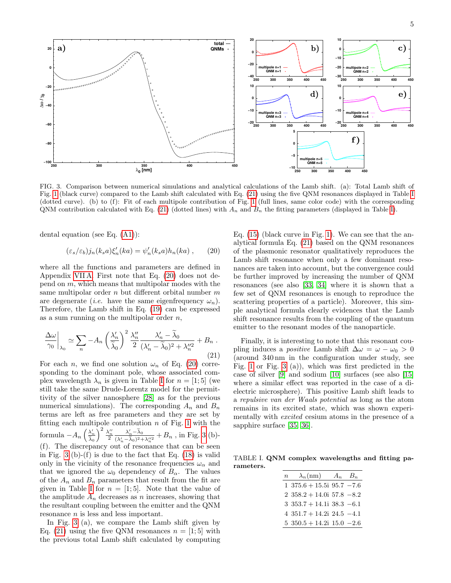

<span id="page-4-3"></span>FIG. 3. Comparison between numerical simulations and analytical calculations of the Lamb shift. (a): Total Lamb shift of Fig. [1](#page-3-0) (black curve) compared to the Lamb shift calculated with Eq. [\(21\)](#page-4-0) using the five QNM resonances displayed in Table [I](#page-4-1) (dotted curve). (b) to (f): Fit of each multipole contribution of Fig. [1](#page-3-0) (full lines, same color code) with the corresponding QNM contribution calculated with Eq. [\(21\)](#page-4-0) (dotted lines) with  $A_n$  and  $B_n$  the fitting parameters (displayed in Table [I\)](#page-4-1).

dental equation (see Eq. [\(A1\)](#page-6-2)):

<span id="page-4-2"></span>
$$
(\varepsilon_s/\varepsilon_b)j_n(k_sa)\xi_n'(ka) = \psi_n'(k_sa)h_n(ka) ,\qquad (20)
$$

where all the functions and parameters are defined in Appendix [VII A.](#page-6-0) First note that Eq. [\(20\)](#page-4-2) does not depend on  $m$ , which means that multipolar modes with the same multipolar order  $n$  but different orbital number  $m$ are degenerate (*i.e.* have the same eigenfrequency  $\omega_n$ ). Therefore, the Lamb shift in Eq. [\(19\)](#page-3-3) can be expressed as a sum running on the multipolar order  $n$ ,

<span id="page-4-0"></span>
$$
\left. \frac{\Delta \omega}{\gamma_0} \right|_{\lambda_0} \simeq \sum_n -A_n \left( \frac{\lambda_n'}{\tilde{\lambda}_0} \right)^2 \frac{\lambda_n''}{2} \frac{\lambda_n' - \tilde{\lambda}_0}{(\lambda_n' - \tilde{\lambda}_0)^2 + \lambda_n''^2} + B_n \tag{21}
$$

For each n, we find one solution  $\omega_n$  of Eq. [\(20\)](#page-4-2) corresponding to the dominant pole, whose associated complex wavelength  $\lambda_n$  is given in Table [I](#page-4-1) for  $n = \begin{bmatrix} 1 \\ 5 \end{bmatrix}$  (we still take the same Drude-Lorentz model for the permittivity of the silver nanosphere [\[28\]](#page-8-6) as for the previous numerical simulations). The corresponding  $A_n$  and  $B_n$ terms are left as free parameters and they are set by fitting each multipole contribution  $n$  of Fig. [1](#page-3-0) with the formula  $-A_n\left(\frac{\lambda'_n}{\tilde{\lambda}_0}\right)$  $\bigg)^2 \frac{\lambda_n^{\prime\prime}}{2}$  $\frac{\lambda'_n - \widetilde{\lambda}_0}{(\lambda'_n - \widetilde{\lambda}_0)^2 + \lambda''_n^2} + B_n$ , in Fig. [3](#page-4-3) (b)-(f). The discrepancy out of resonance that can be seen in Fig. [3](#page-4-3) (b)-(f) is due to the fact that Eq.  $(18)$  is valid only in the vicinity of the resonance frequencies  $\omega_\alpha$  and that we ignored the  $\omega_0$  dependency of  $B_\alpha$ . The values of the  $A_n$  and  $B_n$  parameters that result from the fit are given in Table [I](#page-4-1) for  $n = [1, 5]$ . Note that the value of the amplitude  $A_n$  decreases as n increases, showing that the resultant coupling between the emitter and the QNM resonance n is less and less important.

In Fig. [3](#page-4-3) (a), we compare the Lamb shift given by Eq. [\(21\)](#page-4-0) using the five QNM resonances  $n = \begin{bmatrix} 1 \\ 5 \end{bmatrix}$  with the previous total Lamb shift calculated by computing Eq. [\(15\)](#page-2-3) (black curve in Fig. [1\)](#page-3-0). We can see that the analytical formula Eq. [\(21\)](#page-4-0) based on the QNM resonances of the plasmonic resonator qualitatively reproduces the Lamb shift resonance when only a few dominant resonances are taken into account, but the convergence could be further improved by increasing the number of QNM resonances (see also [\[33,](#page-8-11) [34\]](#page-8-12) where it is shown that a few set of QNM resonances is enough to reproduce the scattering properties of a particle). Moreover, this simple analytical formula clearly evidences that the Lamb shift resonance results from the coupling of the quantum emitter to the resonant modes of the nanoparticle.

Finally, it is interesting to note that this resonant coupling induces a *positive* Lamb shift  $\Delta \omega = \omega - \omega_0 > 0$ (around 340 nm in the configuration under study, see Fig. [1](#page-3-0) or Fig. [3](#page-4-3) (a)), which was first predicted in the case of silver [\[9\]](#page-7-8) and sodium [\[10\]](#page-7-9) surfaces (see also [\[15\]](#page-7-13) where a similar effect was reported in the case of a dielectric microsphere). This positive Lamb shift leads to a repulsive van der Waals potential as long as the atom remains in its excited state, which was shown experimentally with excited cesium atoms in the presence of a sapphire surface [\[35,](#page-8-13) [36\]](#page-8-14).

TABLE I. QNM complex wavelengths and fitting parameters.

<span id="page-4-1"></span>

| $\,n$ | $\lambda_n(nm)$                | $A_n$ $B_n$ |
|-------|--------------------------------|-------------|
|       | $1\,375.6 + 15.5i\,95.7 - 7.6$ |             |
|       | $2\,358.2 + 14.0i\,57.8\,-8.2$ |             |
|       | $3\,353.7 + 14.1i\,38.3\,-6.1$ |             |
|       | $4\,351.7 + 14.2i\,24.5\,-4.1$ |             |
|       | $5\,350.5 + 14.2i\,15.0\,-2.6$ |             |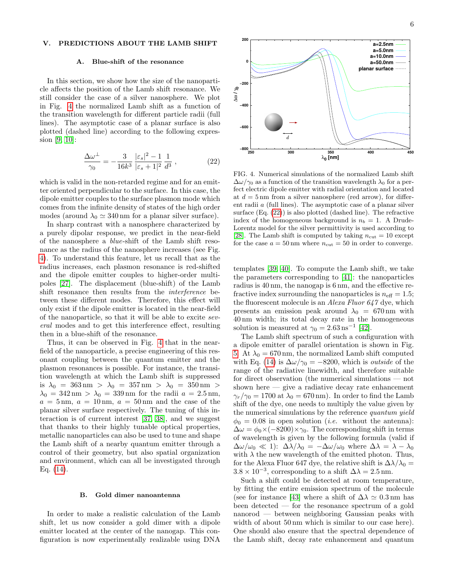# <span id="page-5-0"></span>V. PREDICTIONS ABOUT THE LAMB SHIFT

#### A. Blue-shift of the resonance

In this section, we show how the size of the nanoparticle affects the position of the Lamb shift resonance. We still consider the case of a silver nanosphere. We plot in Fig. [4](#page-5-1) the normalized Lamb shift as a function of the transition wavelength for different particle radii (full lines). The asymptotic case of a planar surface is also plotted (dashed line) according to the following expression [\[9,](#page-7-8) [10\]](#page-7-9):

<span id="page-5-2"></span>
$$
\frac{\Delta\omega^{\perp}}{\gamma_0} = -\frac{3}{16k^3} \frac{|\varepsilon_s|^2 - 1}{|\varepsilon_s + 1|^2} \frac{1}{d^3},\tag{22}
$$

which is valid in the non-retarded regime and for an emitter oriented perpendicular to the surface. In this case, the dipole emitter couples to the surface plasmon mode which comes from the infinite density of states of the high order modes (around  $\lambda_0 \simeq 340 \text{ nm}$  for a planar silver surface).

In sharp contrast with a nanosphere characterized by a purely dipolar response, we predict in the near-field of the nanosphere a blue-shift of the Lamb shift resonance as the radius of the nanosphere increases (see Fig. [4\)](#page-5-1). To understand this feature, let us recall that as the radius increases, each plasmon resonance is red-shifted and the dipole emitter couples to higher-order multipoles [\[27\]](#page-8-5). The displacement (blue-shift) of the Lamb shift resonance then results from the interference between these different modes. Therefore, this effect will only exist if the dipole emitter is located in the near-field of the nanoparticle, so that it will be able to excite several modes and to get this interference effect, resulting then in a blue-shift of the resonance.

Thus, it can be observed in Fig. [4](#page-5-1) that in the nearfield of the nanoparticle, a precise engineering of this resonant coupling between the quantum emitter and the plasmon resonances is possible. For instance, the transition wavelength at which the Lamb shift is suppressed is  $\lambda_0 = 363 \text{ nm} > \lambda_0 = 357 \text{ nm} > \lambda_0 = 350 \text{ nm} >$  $\lambda_0 = 342 \,\text{nm} > \lambda_0 = 339 \,\text{nm}$  for the radii  $a = 2.5 \,\text{nm}$ ,  $a = 5 \,\mathrm{nm}, \ a = 10 \,\mathrm{nm}, \ a = 50 \,\mathrm{nm}$  and the case of the planar silver surface respectively. The tuning of this interaction is of current interest [\[37,](#page-8-15) [38\]](#page-8-16), and we suggest that thanks to their highly tunable optical properties, metallic nanoparticles can also be used to tune and shape the Lamb shift of a nearby quantum emitter through a control of their geometry, but also spatial organization and environment, which can all be investigated through Eq. [\(14\)](#page-2-2).

### B. Gold dimer nanoantenna

In order to make a realistic calculation of the Lamb shift, let us now consider a gold dimer with a dipole emitter located at the center of the nanogap. This configuration is now experimentally realizable using DNA



<span id="page-5-1"></span>FIG. 4. Numerical simulations of the normalized Lamb shift  $\Delta\omega/\gamma_0$  as a function of the transition wavelength  $\lambda_0$  for a perfect electric dipole emitter with radial orientation and located at  $d = 5$  nm from a silver nanosphere (red arrow), for different radii a (full lines). The asymptotic case of a planar silver surface (Eq. [\(22\)](#page-5-2)) is also plotted (dashed line). The refractive index of the homogeneous background is  $n_b = 1$ . A Drude-Lorentz model for the silver permittivity is used according to [\[28\]](#page-8-6). The Lamb shift is computed by taking  $n_{\text{cut}} = 10$  except for the case  $a = 50 \text{ nm}$  where  $n_{\text{cut}} = 50$  in order to converge.

templates [\[39,](#page-8-17) [40\]](#page-8-18). To compute the Lamb shift, we take the parameters corresponding to [\[41\]](#page-8-19): the nanoparticles radius is 40 nm, the nanogap is 6 nm, and the effective refractive index surrounding the nanoparticles is  $n_{\text{eff}} = 1.5$ ; the fluorescent molecule is an Alexa Fluor 647 dye, which presents an emission peak around  $\lambda_0 = 670 \text{ nm}$  with 40 nm width; its total decay rate in the homogeneous solution is measured at  $\gamma_0 = 2.63 \,\mathrm{ns}^{-1}$  [\[42\]](#page-8-20).

The Lamb shift spectrum of such a configuration with a dipole emitter of parallel orientation is shown in Fig. [5.](#page-6-3) At  $\lambda_0 = 670 \,\mathrm{nm}$ , the normalized Lamb shift computed with Eq. [\(14\)](#page-2-2) is  $\Delta\omega/\gamma_0 = -8200$ , which is *outside* of the range of the radiative linewidth, and therefore suitable for direct observation (the numerical simulations — not shown here — give a radiative decay rate enhancement  $\gamma_r/\gamma_0 = 1700$  at  $\lambda_0 = 670$  nm). In order to find the Lamb shift of the dye, one needs to multiply the value given by the numerical simulations by the reference quantum yield  $\phi_0 = 0.08$  in open solution (*i.e.* without the antenna):  $\Delta\omega = \phi_0 \times (-8200) \times \gamma_0$ . The corresponding shift in terms of wavelength is given by the following formula (valid if  $\Delta\omega/\omega_0 \ll 1$ :  $\Delta\lambda/\lambda_0 = -\Delta\omega/\omega_0$  where  $\Delta\lambda = \lambda - \lambda_0$ with  $\lambda$  the new wavelength of the emitted photon. Thus, for the Alexa Fluor 647 dye, the relative shift is  $\Delta\lambda/\lambda_0 =$  $3.8 \times 10^{-3}$ , corresponding to a shift  $\Delta \lambda = 2.5$  nm.

Such a shift could be detected at room temperature, by fitting the entire emission spectrum of the molecule (see for instance [\[43\]](#page-8-21) where a shift of  $\Delta\lambda \simeq 0.3$  nm has been detected — for the resonance spectrum of a gold nanorod — between neighboring Gaussian peaks with width of about 50 nm which is similar to our case here). One should also ensure that the spectral dependence of the Lamb shift, decay rate enhancement and quantum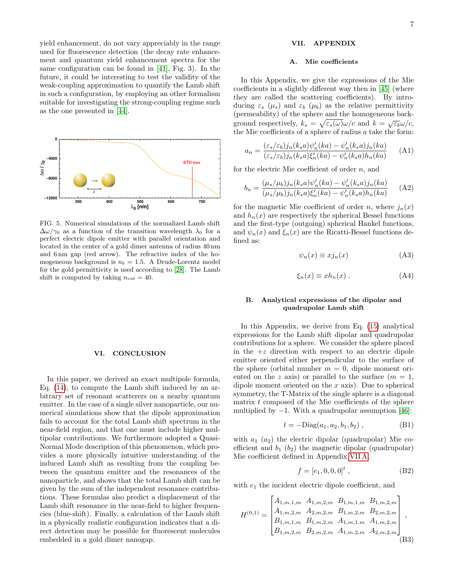yield enhancement, do not vary appreciably in the range used for fluorescence detection (the decay rate enhancement and quantum yield enhancement spectra for the same configuration can be found in [\[41\]](#page-8-19), Fig. 3). In the future, it could be interesting to test the validity of the weak-coupling approximation to quantify the Lamb shift in such a configuration, by employing an other formalism suitable for investigating the strong-coupling regime such as the one presented in [\[44\]](#page-8-22).



<span id="page-6-3"></span>FIG. 5. Numerical simulations of the normalized Lamb shift  $\Delta\omega/\gamma_0$  as a function of the transition wavelength  $\lambda_0$  for a perfect electric dipole emitter with parallel orientation and located in the center of a gold dimer antenna of radius 40 nm and 6 nm gap (red arrow). The refractive index of the homogeneous background is  $n_b = 1.5$ . A Drude-Lorentz model for the gold permittivity is used according to [\[28\]](#page-8-6). The Lamb shift is computed by taking  $n_{\text{cut}} = 40$ .

### VI. CONCLUSION

In this paper, we derived an exact multipole formula, Eq. [\(14\)](#page-2-2), to compute the Lamb shift induced by an arbitrary set of resonant scatterers on a nearby quantum emitter. In the case of a single silver nanoparticle, our numerical simulations show that the dipole approximation fails to account for the total Lamb shift spectrum in the near-field region, and that one must include higher multipolar contributions. We furthermore adopted a Quasi-Normal Mode description of this phenomenon, which provides a more physically intuitive understanding of the induced Lamb shift as resulting from the coupling between the quantum emitter and the resonances of the nanoparticle, and shows that the total Lamb shift can be given by the sum of the independent resonance contributions. These formulas also predict a displacement of the Lamb shift resonance in the near-field to higher frequencies (blue-shift). Finally, a calculation of the Lamb shift in a physically realistic configuration indicates that a direct detection may be possible for fluorescent molecules embedded in a gold dimer nanogap.

### VII. APPENDIX

#### <span id="page-6-0"></span>A. Mie coefficients

In this Appendix, we give the expressions of the Mie coefficients in a slightly different way then in [\[45\]](#page-8-23) (where they are called the scattering coefficients). By introducing  $\varepsilon_s$  ( $\mu_s$ ) and  $\varepsilon_b$  ( $\mu_b$ ) as the relative permittivity (permeability) of the sphere and the homogeneous background respectively,  $k_s = \sqrt{\varepsilon_s(\omega)}\omega/c$  and  $k = \sqrt{\varepsilon_b}\omega/c$ , the Mie coefficients of a sphere of radius a take the form:

<span id="page-6-2"></span>
$$
a_n = \frac{(\varepsilon_s/\varepsilon_b)j_n(k_sa)\psi_n'(ka) - \psi_n'(k_sa)j_n(ka)}{(\varepsilon_s/\varepsilon_b)j_n(k_sa)\xi_n'(ka) - \psi_n'(k_sa)h_n(ka)} \tag{A1}
$$

for the electric Mie coefficient of order  $n$ , and

$$
b_n = \frac{(\mu_s/\mu_b)j_n(k_sa)\psi_n'(ka) - \psi_n'(k_sa)j_n(ka)}{(\mu_s/\mu_b)j_n(k_sa)\xi_n'(ka) - \psi_n'(k_sa)h_n(ka)} \tag{A2}
$$

for the magnetic Mie coefficient of order n, where  $j_n(x)$ and  $h_n(x)$  are respectively the spherical Bessel functions and the first-type (outgoing) spherical Hankel functions, and  $\psi_n(x)$  and  $\xi_n(x)$  are the Ricatti-Bessel functions defined as:

$$
\psi_n(x) \equiv x j_n(x) \tag{A3}
$$

$$
\xi_n(x) \equiv x h_n(x) . \tag{A4}
$$

# <span id="page-6-1"></span>B. Analytical expressions of the dipolar and quadrupolar Lamb shift

In this Appendix, we derive from Eq. [\(15\)](#page-2-3) analytical expressions for the Lamb shift dipolar and quadrupolar contributions for a sphere. We consider the sphere placed in the  $+z$  direction with respect to an electric dipole emitter oriented either perpendicular to the surface of the sphere (orbital number  $m = 0$ , dipole moment oriented on the z axis) or parallel to the surface  $(m = 1,$ dipole moment oriented on the  $x$  axis). Due to spherical symmetry, the T-Matrix of the single sphere is a diagonal matrix t composed of the Mie coefficients of the sphere multiplied by  $-1$ . With a quadrupolar assumption [\[46\]](#page-8-24):

$$
t = -\text{Diag}(a_1, a_2, b_1, b_2) , \qquad (B1)
$$

with  $a_1$   $(a_2)$  the electric dipolar (quadrupolar) Mie coefficient and  $b_1$  ( $b_2$ ) the magnetic dipolar (quadrupolar) Mie coefficient defined in Appendix [VII A,](#page-6-0)

$$
f = [e_1, 0, 0, 0]^t , \t\t (B2)
$$

with  $e_1$  the incident electric dipole coefficient, and

$$
H^{(0,1)} = \begin{bmatrix} A_{1,m,1,m} & A_{1,m,2,m} & B_{1,m,1,m} & B_{1,m,2,m} \\ A_{1,m,2,m} & A_{2,m,2,m} & B_{1,m,2,m} & B_{2,m,2,m} \\ B_{1,m,1,m} & B_{1,m,2,m} & A_{1,m,1,m} & A_{1,m,2,m} \\ B_{1,m,2,m} & B_{2,m,2,m} & A_{1,m,2,m} & A_{2,m,2,m} \end{bmatrix},
$$
\n(B3)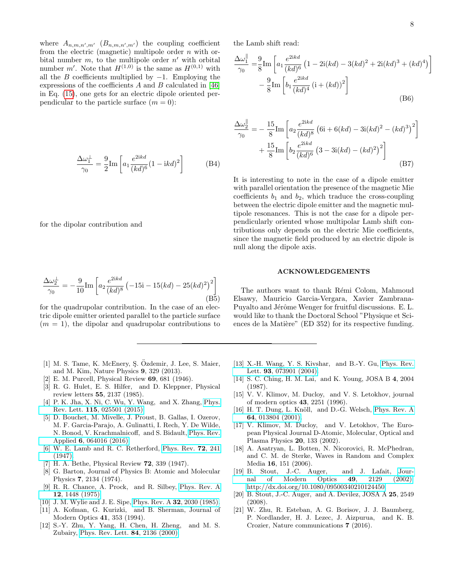1

where  $A_{n,m,n',m'}$   $(B_{n,m,n',m'})$  the coupling coefficient from the electric (magnetic) multipole order  $n$  with orbital number  $m$ , to the multipole order  $n'$  with orbital number m'. Note that  $H^{(1,0)}$  is the same as  $H^{(0,1)}$  with all the B coefficients multiplied by  $-1$ . Employing the expressions of the coefficients  $A$  and  $B$  calculated in [\[46\]](#page-8-24) in Eq. [\(15\)](#page-2-3), one gets for an electric dipole oriented perpendicular to the particle surface  $(m = 0)$ :

$$
\frac{\Delta\omega_1^{\perp}}{\gamma_0} = \frac{9}{2} \text{Im} \left[ a_1 \frac{e^{2\text{i}kd}}{(kd)^6} (1 - \text{i}kd)^2 \right]
$$
(B4)

for the dipolar contribution and

$$
\frac{\Delta\omega_2^{\perp}}{\gamma_0} = -\frac{9}{10}\text{Im}\left[a_2\frac{e^{2ikd}}{(kd)^8} \left(-15\text{i} - 15(kd) - 25(kd)^2\right)^2\right]
$$
(B5)

for the quadrupolar contribution. In the case of an electric dipole emitter oriented parallel to the particle surface  $(m = 1)$ , the dipolar and quadrupolar contributions to

- <span id="page-7-0"></span>[1] M. S. Tame, K. McEnery, Ş. Özdemir, J. Lee, S. Maier, and M. Kim, Nature Physics 9, 329 (2013).
- <span id="page-7-1"></span>[2] E. M. Purcell, Physical Review 69, 681 (1946).
- <span id="page-7-2"></span>[3] R. G. Hulet, E. S. Hilfer, and D. Kleppner, Physical review letters 55, 2137 (1985).
- <span id="page-7-3"></span>[4] P. K. Jha, X. Ni, C. Wu, Y. Wang, and X. Zhang, [Phys.](http://dx.doi.org/ 10.1103/PhysRevLett.115.025501) Rev. Lett. 115[, 025501 \(2015\).](http://dx.doi.org/ 10.1103/PhysRevLett.115.025501)
- <span id="page-7-4"></span>[5] D. Bouchet, M. Mivelle, J. Proust, B. Gallas, I. Ozerov, M. F. Garcia-Parajo, A. Gulinatti, I. Rech, Y. De Wilde, N. Bonod, V. Krachmalnicoff, and S. Bidault, [Phys. Rev.](http://dx.doi.org/10.1103/PhysRevApplied.6.064016) Applied 6[, 064016 \(2016\).](http://dx.doi.org/10.1103/PhysRevApplied.6.064016)
- <span id="page-7-5"></span>[6] W. E. Lamb and R. C. Retherford, [Phys. Rev.](http://dx.doi.org/10.1103/PhysRev.72.241) 72, 241 [\(1947\).](http://dx.doi.org/10.1103/PhysRev.72.241)
- <span id="page-7-6"></span>[7] H. A. Bethe, Physical Review 72, 339 (1947).
- <span id="page-7-7"></span>[8] G. Barton, Journal of Physics B: Atomic and Molecular Physics 7, 2134 (1974).
- <span id="page-7-8"></span>[9] R. R. Chance, A. Prock, and R. Silbey, [Phys. Rev. A](http://dx.doi.org/10.1103/PhysRevA.12.1448) 12[, 1448 \(1975\).](http://dx.doi.org/10.1103/PhysRevA.12.1448)
- <span id="page-7-9"></span>[10] J. M. Wylie and J. E. Sipe, Phys. Rev. A 32[, 2030 \(1985\).](http://dx.doi.org/10.1103/PhysRevA.32.2030)
- <span id="page-7-10"></span>[11] A. Kofman, G. Kurizki, and B. Sherman, Journal of Modern Optics 41, 353 (1994).
- [12] S.-Y. Zhu, Y. Yang, H. Chen, H. Zheng, and M. S. Zubairy, [Phys. Rev. Lett.](http://dx.doi.org/ 10.1103/PhysRevLett.84.2136) 84, 2136 (2000).

the Lamb shift read:

$$
\frac{\Delta\omega_1^{\parallel}}{\gamma_0} = \frac{9}{8} \text{Im} \left[ a_1 \frac{e^{2ikd}}{(kd)^6} \left( 1 - 2i(kd) - 3(kd)^2 + 2i(kd)^3 + (kd)^4 \right) \right. \\
\left. - \frac{9}{8} \text{Im} \left[ b_1 \frac{e^{2ikd}}{(kd)^4} \left( i + (kd) \right)^2 \right] \right]
$$
\n(B6)

$$
\frac{\Delta \omega_2^{\parallel}}{\gamma_0} = -\frac{15}{8} \text{Im} \left[ a_2 \frac{e^{2ikd}}{(kd)^8} \left( 6i + 6(kd) - 3i(kd)^2 - (kd)^3 \right)^2 \right] + \frac{15}{8} \text{Im} \left[ b_2 \frac{e^{2ikd}}{(kd)^6} \left( 3 - 3i(kd) - (kd)^2 \right)^2 \right]
$$
\n(B7)

It is interesting to note in the case of a dipole emitter with parallel orientation the presence of the magnetic Mie coefficients  $b_1$  and  $b_2$ , which traduce the cross-coupling between the electric dipole emitter and the magnetic multipole resonances. This is not the case for a dipole perpendicularly oriented whose multipolar Lamb shift contributions only depends on the electric Mie coefficients, since the magnetic field produced by an electric dipole is null along the dipole axis.

#### ACKNOWLEDGEMENTS

The authors want to thank Rémi Colom, Mahmoud Elsawy, Mauricio Garcia-Vergara, Xavier Zambrana-Puyalto and Jérôme Wenger for fruitful discussions. E. L. would like to thank the Doctoral School "Physique et Sciences de la Matière" (ED 352) for its respective funding.

- <span id="page-7-11"></span>[13] X.-H. Wang, Y. S. Kivshar, and B.-Y. Gu, [Phys. Rev.](http://dx.doi.org/10.1103/PhysRevLett.93.073901) Lett. 93[, 073901 \(2004\).](http://dx.doi.org/10.1103/PhysRevLett.93.073901)
- <span id="page-7-12"></span>[14] S. C. Ching, H. M. Lai, and K. Young, JOSA B 4, 2004 (1987).
- <span id="page-7-13"></span>[15] V. V. Klimov, M. Ducloy, and V. S. Letokhov, journal of modern optics 43, 2251 (1996).
- <span id="page-7-14"></span>[16] H. T. Dung, L. Knöll, and D.-G. Welsch, [Phys. Rev. A](http://dx.doi.org/10.1103/PhysRevA.64.013804) 64[, 013804 \(2001\).](http://dx.doi.org/10.1103/PhysRevA.64.013804)
- <span id="page-7-15"></span>[17] V. Klimov, M. Ducloy, and V. Letokhov, The European Physical Journal D-Atomic, Molecular, Optical and Plasma Physics 20, 133 (2002).
- <span id="page-7-16"></span>[18] A. Asatryan, L. Botten, N. Nicorovici, R. McPhedran, and C. M. de Sterke, Waves in Random and Complex Media 16, 151 (2006).
- <span id="page-7-17"></span>[19] B. Stout, J.-C. Auger, and J. Lafait, [Jour](http://dx.doi.org/10.1080/09500340210124450)[nal of Modern Optics](http://dx.doi.org/10.1080/09500340210124450) 49, 2129 (2002), [http://dx.doi.org/10.1080/09500340210124450.](http://arxiv.org/abs/http://dx.doi.org/10.1080/09500340210124450)
- <span id="page-7-18"></span>[20] B. Stout, J.-C. Auger, and A. Devilez, JOSA A 25, 2549 (2008).
- <span id="page-7-19"></span>[21] W. Zhu, R. Esteban, A. G. Borisov, J. J. Baumberg, P. Nordlander, H. J. Lezec, J. Aizpurua, and K. B. Crozier, Nature communications 7 (2016).